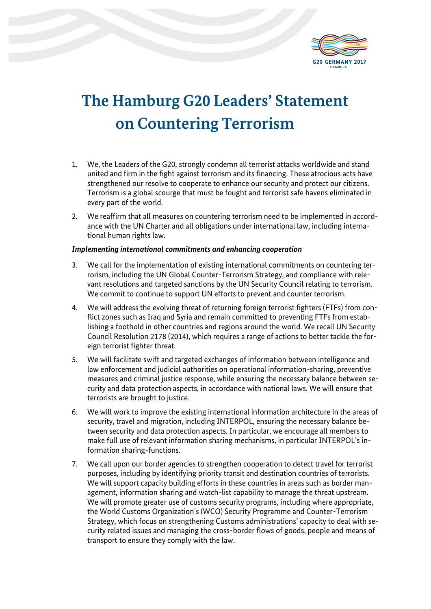

## **The Hamburg G20 Leaders' Statement on Countering Terrorism**

- 1. We, the Leaders of the G20, strongly condemn all terrorist attacks worldwide and stand united and firm in the fight against terrorism and its financing. These atrocious acts have strengthened our resolve to cooperate to enhance our security and protect our citizens. Terrorism is a global scourge that must be fought and terrorist safe havens eliminated in every part of the world.
- 2. We reaffirm that all measures on countering terrorism need to be implemented in accordance with the UN Charter and all obligations under international law, including international human rights law.

## *Implementing international commitments and enhancing cooperation*

- 3. We call for the implementation of existing international commitments on countering terrorism, including the UN Global Counter-Terrorism Strategy, and compliance with relevant resolutions and targeted sanctions by the UN Security Council relating to terrorism. We commit to continue to support UN efforts to prevent and counter terrorism.
- 4. We will address the evolving threat of returning foreign terrorist fighters (FTFs) from conflict zones such as Iraq and Syria and remain committed to preventing FTFs from establishing a foothold in other countries and regions around the world. We recall UN Security Council Resolution 2178 (2014), which requires a range of actions to better tackle the foreign terrorist fighter threat.
- 5. We will facilitate swift and targeted exchanges of information between intelligence and law enforcement and judicial authorities on operational information-sharing, preventive measures and criminal justice response, while ensuring the necessary balance between security and data protection aspects, in accordance with national laws. We will ensure that terrorists are brought to justice.
- 6. We will work to improve the existing international information architecture in the areas of security, travel and migration, including INTERPOL, ensuring the necessary balance between security and data protection aspects. In particular, we encourage all members to make full use of relevant information sharing mechanisms, in particular INTERPOL's information sharing-functions.
- 7. We call upon our border agencies to strengthen cooperation to detect travel for terrorist purposes, including by identifying priority transit and destination countries of terrorists. We will support capacity building efforts in these countries in areas such as border management, information sharing and watch-list capability to manage the threat upstream. We will promote greater use of customs security programs, including where appropriate, the World Customs Organization's (WCO) Security Programme and Counter-Terrorism Strategy, which focus on strengthening Customs administrations' capacity to deal with security related issues and managing the cross-border flows of goods, people and means of transport to ensure they comply with the law.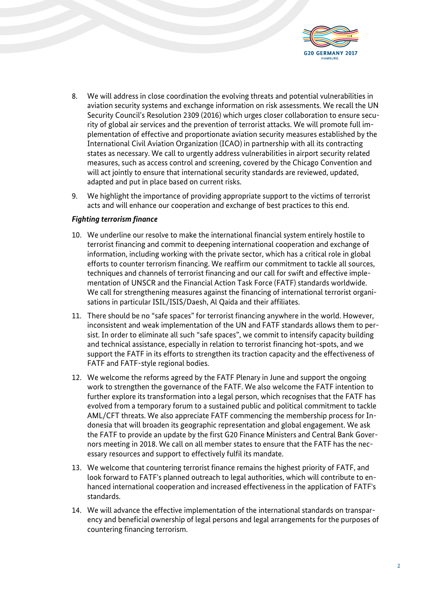

- 8. We will address in close coordination the evolving threats and potential vulnerabilities in aviation security systems and exchange information on risk assessments. We recall the UN Security Council's Resolution 2309 (2016) which urges closer collaboration to ensure security of global air services and the prevention of terrorist attacks. We will promote full implementation of effective and proportionate aviation security measures established by the International Civil Aviation Organization (ICAO) in partnership with all its contracting states as necessary. We call to urgently address vulnerabilities in airport security related measures, such as access control and screening, covered by the Chicago Convention and will act jointly to ensure that international security standards are reviewed, updated, adapted and put in place based on current risks.
- 9. We highlight the importance of providing appropriate support to the victims of terrorist acts and will enhance our cooperation and exchange of best practices to this end.

## *Fighting terrorism finance*

- 10. We underline our resolve to make the international financial system entirely hostile to terrorist financing and commit to deepening international cooperation and exchange of information, including working with the private sector, which has a critical role in global efforts to counter terrorism financing. We reaffirm our commitment to tackle all sources, techniques and channels of terrorist financing and our call for swift and effective implementation of UNSCR and the Financial Action Task Force (FATF) standards worldwide. We call for strengthening measures against the financing of international terrorist organisations in particular ISIL/ISIS/Daesh, Al Qaida and their affiliates.
- 11. There should be no "safe spaces" for terrorist financing anywhere in the world. However, inconsistent and weak implementation of the UN and FATF standards allows them to persist. In order to eliminate all such "safe spaces", we commit to intensify capacity building and technical assistance, especially in relation to terrorist financing hot-spots, and we support the FATF in its efforts to strengthen its traction capacity and the effectiveness of FATF and FATF-style regional bodies.
- 12. We welcome the reforms agreed by the FATF Plenary in June and support the ongoing work to strengthen the governance of the FATF. We also welcome the FATF intention to further explore its transformation into a legal person, which recognises that the FATF has evolved from a temporary forum to a sustained public and political commitment to tackle AML/CFT threats. We also appreciate FATF commencing the membership process for Indonesia that will broaden its geographic representation and global engagement. We ask the FATF to provide an update by the first G20 Finance Ministers and Central Bank Governors meeting in 2018. We call on all member states to ensure that the FATF has the necessary resources and support to effectively fulfil its mandate.
- 13. We welcome that countering terrorist finance remains the highest priority of FATF, and look forward to FATF's planned outreach to legal authorities, which will contribute to enhanced international cooperation and increased effectiveness in the application of FATF's standards.
- 14. We will advance the effective implementation of the international standards on transparency and beneficial ownership of legal persons and legal arrangements for the purposes of countering financing terrorism.